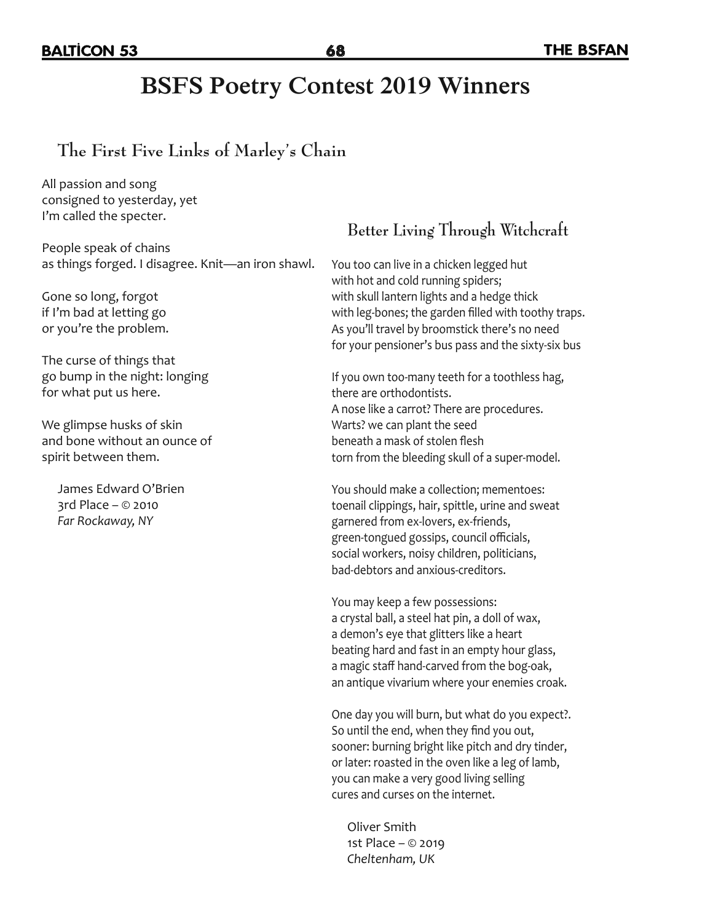## **BSFS Poetry Contest 2019 Winners**

### **The First Five Links of Marley's Chain**

All passion and song consigned to yesterday, yet I'm called the specter.

People speak of chains as things forged. I disagree. Knit—an iron shawl.

Gone so long, forgot if I'm bad at letting go or you're the problem.

The curse of things that go bump in the night: longing for what put us here.

We glimpse husks of skin and bone without an ounce of spirit between them.

James Edward O'Brien 3rd Place – © 2010 *Far Rockaway, NY*

### **Better Living Through Witchcraft**

You too can live in a chicken legged hut with hot and cold running spiders; with skull lantern lights and a hedge thick with leg-bones; the garden filled with toothy traps. As you'll travel by broomstick there's no need for your pensioner's bus pass and the sixty-six bus

If you own too-many teeth for a toothless hag, there are orthodontists. A nose like a carrot? There are procedures. Warts? we can plant the seed beneath a mask of stolen flesh torn from the bleeding skull of a super-model.

You should make a collection; mementoes: toenail clippings, hair, spittle, urine and sweat garnered from ex-lovers, ex-friends, green-tongued gossips, council officials, social workers, noisy children, politicians, bad-debtors and anxious-creditors.

You may keep a few possessions: a crystal ball, a steel hat pin, a doll of wax, a demon's eye that glitters like a heart beating hard and fast in an empty hour glass, a magic staff hand-carved from the bog-oak, an antique vivarium where your enemies croak.

One day you will burn, but what do you expect?. So until the end, when they find you out, sooner: burning bright like pitch and dry tinder, or later: roasted in the oven like a leg of lamb, you can make a very good living selling cures and curses on the internet.

Oliver Smith 1st Place – © 2019 *Cheltenham, UK*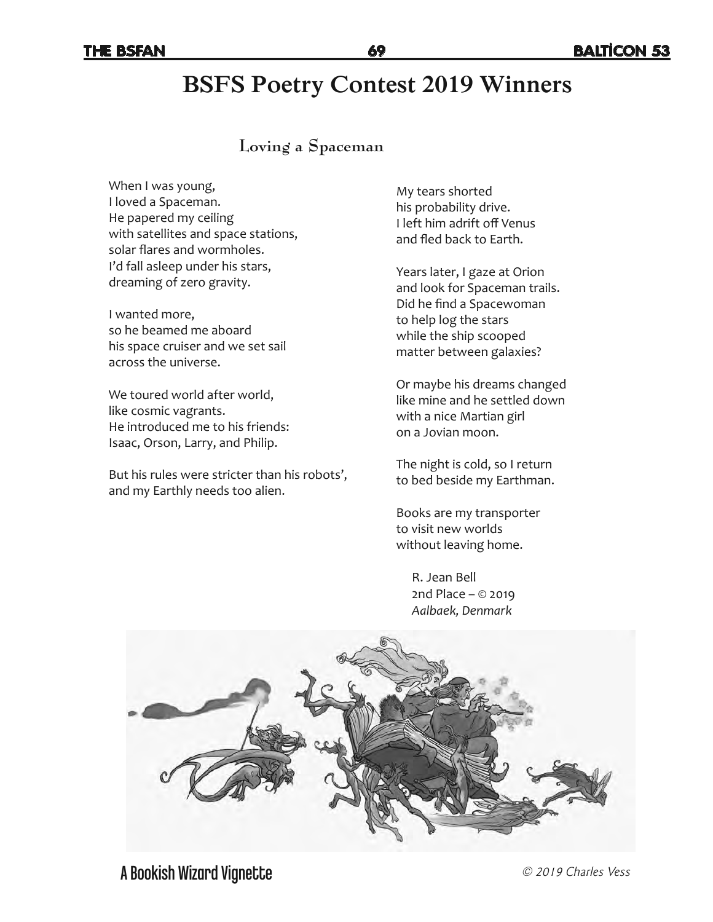# **BSFS Poetry Contest 2019 Winners**

#### **Loving a Spaceman**

When I was young, I loved a Spaceman. He papered my ceiling with satellites and space stations, solar flares and wormholes. I'd fall asleep under his stars, dreaming of zero gravity.

I wanted more, so he beamed me aboard his space cruiser and we set sail across the universe.

We toured world after world, like cosmic vagrants. He introduced me to his friends: Isaac, Orson, Larry, and Philip.

But his rules were stricter than his robots', and my Earthly needs too alien.

My tears shorted his probability drive. I left him adrift off Venus and fled back to Earth.

Years later, I gaze at Orion and look for Spaceman trails. Did he find a Spacewoman to help log the stars while the ship scooped matter between galaxies?

Or maybe his dreams changed like mine and he settled down with a nice Martian girl on a Jovian moon.

The night is cold, so I return to bed beside my Earthman.

Books are my transporter to visit new worlds without leaving home.

> R. Jean Bell 2nd Place – © 2019 *Aalbaek, Denmark*

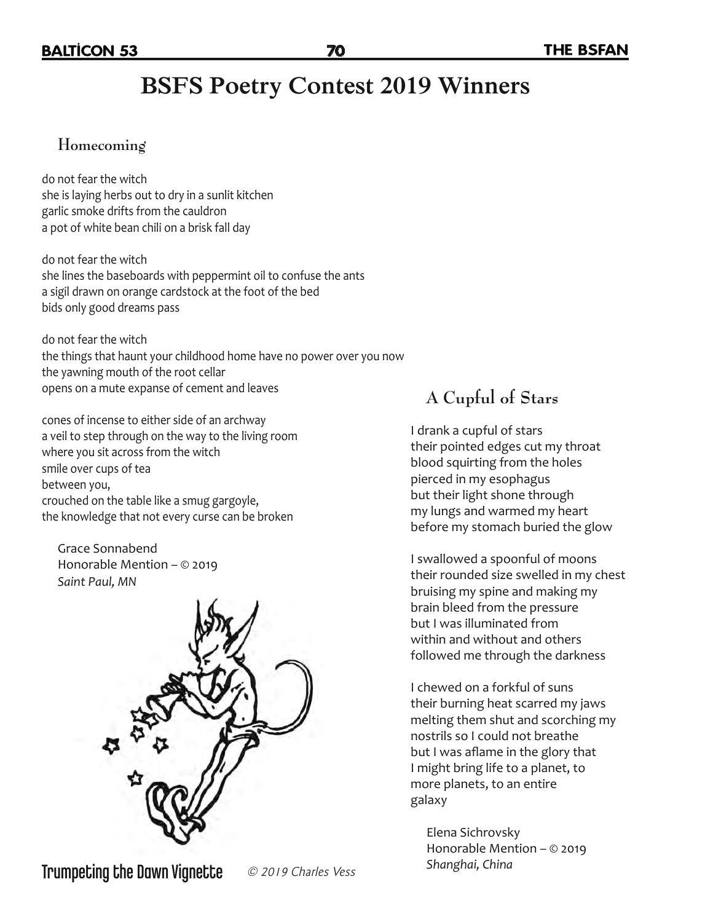# **BSFS Poetry Contest 2019 Winners**

### **Homecoming**

do not fear the witch she is laying herbs out to dry in a sunlit kitchen garlic smoke drifts from the cauldron a pot of white bean chili on a brisk fall day

do not fear the witch she lines the baseboards with peppermint oil to confuse the ants a sigil drawn on orange cardstock at the foot of the bed bids only good dreams pass

do not fear the witch the things that haunt your childhood home have no power over you now the yawning mouth of the root cellar opens on a mute expanse of cement and leaves

cones of incense to either side of an archway a veil to step through on the way to the living room where you sit across from the witch smile over cups of tea between you, crouched on the table like a smug gargoyle, the knowledge that not every curse can be broken

Grace Sonnabend Honorable Mention – © 2019 *Saint Paul, MN*



**Trumpeting the Dawn Vignette**  $\oslash$  2019 Charles Vess Shanghai, China

## **A Cupful of Stars**

I drank a cupful of stars their pointed edges cut my throat blood squirting from the holes pierced in my esophagus but their light shone through my lungs and warmed my heart before my stomach buried the glow

I swallowed a spoonful of moons their rounded size swelled in my chest bruising my spine and making my brain bleed from the pressure but I was illuminated from within and without and others followed me through the darkness

I chewed on a forkful of suns their burning heat scarred my jaws melting them shut and scorching my nostrils so I could not breathe but I was aflame in the glory that I might bring life to a planet, to more planets, to an entire galaxy

Elena Sichrovsky Honorable Mention – © 2019